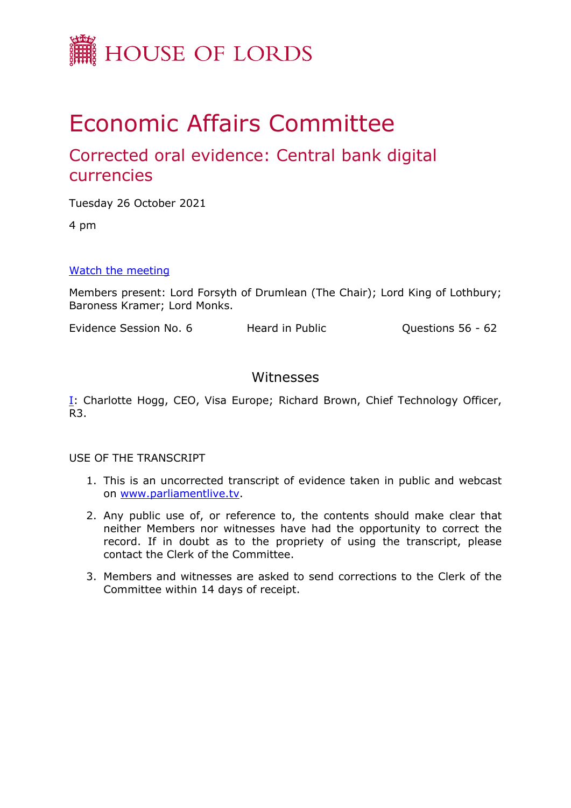

# Economic Affairs Committee

# Corrected oral evidence: Central bank digital currencies

Tuesday 26 October 2021

4 pm

### [Watch](https://www.parliamentlive.tv/Event/Index/6dfb18ce-4bd3-4e30-92ca-0c66a31c439b) [the](https://www.parliamentlive.tv/Event/Index/6dfb18ce-4bd3-4e30-92ca-0c66a31c439b) [meeting](https://www.parliamentlive.tv/Event/Index/6dfb18ce-4bd3-4e30-92ca-0c66a31c439b)

Members present: Lord Forsyth of Drumlean (The Chair); Lord King of Lothbury; Baroness Kramer; Lord Monks.

Evidence Session No. 6 Theard in Public Connections 56 - 62

# Witnesses

[I:](#page-1-0) Charlotte Hogg, CEO, Visa Europe; Richard Brown, Chief Technology Officer, R3.

#### USE OF THE TRANSCRIPT

- 1. This is an uncorrected transcript of evidence taken in public and webcast on [www.parliamentlive.tv.](http://www.parliamentlive.tv/)
- 2. Any public use of, or reference to, the contents should make clear that neither Members nor witnesses have had the opportunity to correct the record. If in doubt as to the propriety of using the transcript, please contact the Clerk of the Committee.
- 3. Members and witnesses are asked to send corrections to the Clerk of the Committee within 14 days of receipt.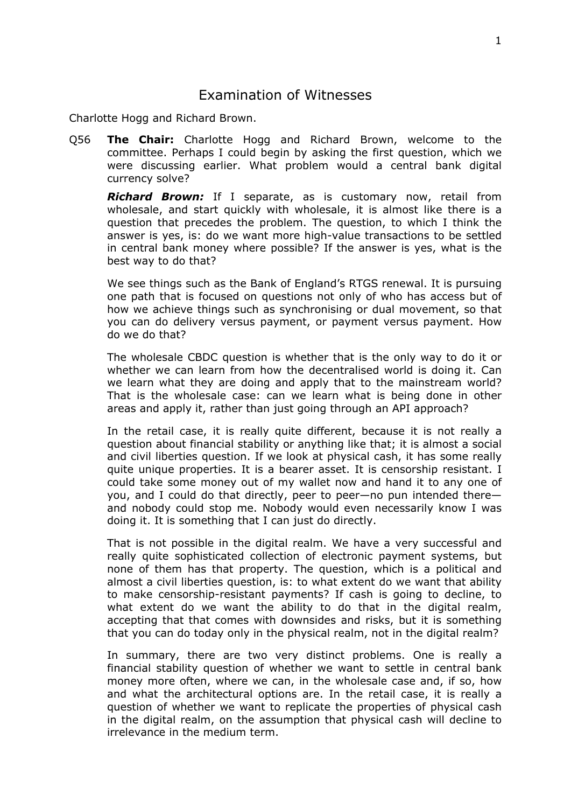## <span id="page-1-0"></span>Examination of Witnesses

Charlotte Hogg and Richard Brown.

Q56 **The Chair:** Charlotte Hogg and Richard Brown, welcome to the committee. Perhaps I could begin by asking the first question, which we were discussing earlier. What problem would a central bank digital currency solve?

*Richard Brown:* If I separate, as is customary now, retail from wholesale, and start quickly with wholesale, it is almost like there is a question that precedes the problem. The question, to which I think the answer is yes, is: do we want more high-value transactions to be settled in central bank money where possible? If the answer is yes, what is the best way to do that?

We see things such as the Bank of England's RTGS renewal. It is pursuing one path that is focused on questions not only of who has access but of how we achieve things such as synchronising or dual movement, so that you can do delivery versus payment, or payment versus payment. How do we do that?

The wholesale CBDC question is whether that is the only way to do it or whether we can learn from how the decentralised world is doing it. Can we learn what they are doing and apply that to the mainstream world? That is the wholesale case: can we learn what is being done in other areas and apply it, rather than just going through an API approach?

In the retail case, it is really quite different, because it is not really a question about financial stability or anything like that; it is almost a social and civil liberties question. If we look at physical cash, it has some really quite unique properties. It is a bearer asset. It is censorship resistant. I could take some money out of my wallet now and hand it to any one of you, and I could do that directly, peer to peer—no pun intended there and nobody could stop me. Nobody would even necessarily know I was doing it. It is something that I can just do directly.

That is not possible in the digital realm. We have a very successful and really quite sophisticated collection of electronic payment systems, but none of them has that property. The question, which is a political and almost a civil liberties question, is: to what extent do we want that ability to make censorship-resistant payments? If cash is going to decline, to what extent do we want the ability to do that in the digital realm, accepting that that comes with downsides and risks, but it is something that you can do today only in the physical realm, not in the digital realm?

In summary, there are two very distinct problems. One is really a financial stability question of whether we want to settle in central bank money more often, where we can, in the wholesale case and, if so, how and what the architectural options are. In the retail case, it is really a question of whether we want to replicate the properties of physical cash in the digital realm, on the assumption that physical cash will decline to irrelevance in the medium term.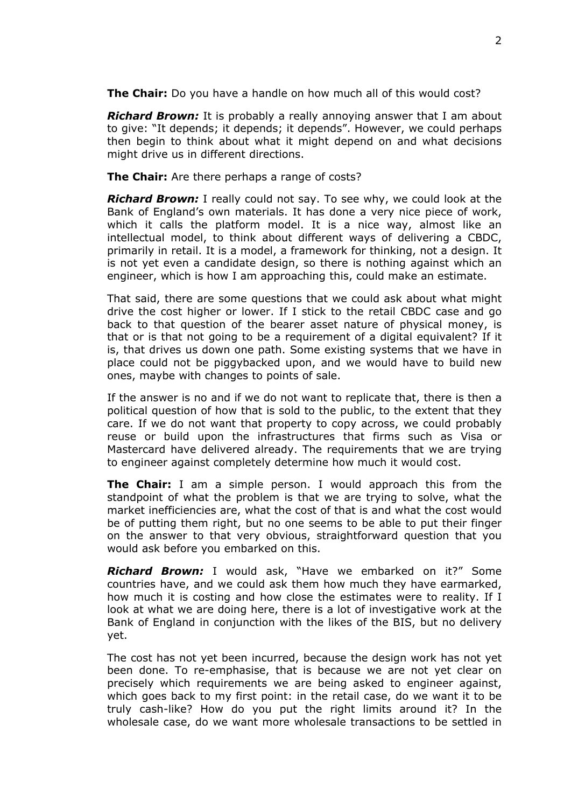**The Chair:** Do you have a handle on how much all of this would cost?

*Richard Brown:* It is probably a really annoying answer that I am about to give: "It depends; it depends; it depends". However, we could perhaps then begin to think about what it might depend on and what decisions might drive us in different directions.

**The Chair:** Are there perhaps a range of costs?

*Richard Brown:* I really could not say. To see why, we could look at the Bank of England's own materials. It has done a very nice piece of work, which it calls the platform model. It is a nice way, almost like an intellectual model, to think about different ways of delivering a CBDC, primarily in retail. It is a model, a framework for thinking, not a design. It is not yet even a candidate design, so there is nothing against which an engineer, which is how I am approaching this, could make an estimate.

That said, there are some questions that we could ask about what might drive the cost higher or lower. If I stick to the retail CBDC case and go back to that question of the bearer asset nature of physical money, is that or is that not going to be a requirement of a digital equivalent? If it is, that drives us down one path. Some existing systems that we have in place could not be piggybacked upon, and we would have to build new ones, maybe with changes to points of sale.

If the answer is no and if we do not want to replicate that, there is then a political question of how that is sold to the public, to the extent that they care. If we do not want that property to copy across, we could probably reuse or build upon the infrastructures that firms such as Visa or Mastercard have delivered already. The requirements that we are trying to engineer against completely determine how much it would cost.

**The Chair:** I am a simple person. I would approach this from the standpoint of what the problem is that we are trying to solve, what the market inefficiencies are, what the cost of that is and what the cost would be of putting them right, but no one seems to be able to put their finger on the answer to that very obvious, straightforward question that you would ask before you embarked on this.

*Richard Brown:* I would ask, "Have we embarked on it?" Some countries have, and we could ask them how much they have earmarked, how much it is costing and how close the estimates were to reality. If I look at what we are doing here, there is a lot of investigative work at the Bank of England in conjunction with the likes of the BIS, but no delivery yet.

The cost has not yet been incurred, because the design work has not yet been done. To re-emphasise, that is because we are not yet clear on precisely which requirements we are being asked to engineer against, which goes back to my first point: in the retail case, do we want it to be truly cash-like? How do you put the right limits around it? In the wholesale case, do we want more wholesale transactions to be settled in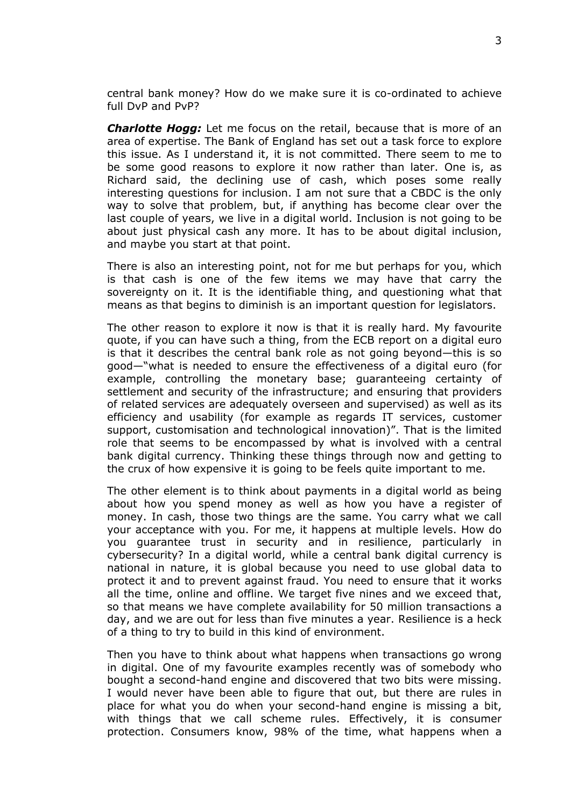central bank money? How do we make sure it is co-ordinated to achieve full DvP and PvP?

*Charlotte Hogg:* Let me focus on the retail, because that is more of an area of expertise. The Bank of England has set out a task force to explore this issue. As I understand it, it is not committed. There seem to me to be some good reasons to explore it now rather than later. One is, as Richard said, the declining use of cash, which poses some really interesting questions for inclusion. I am not sure that a CBDC is the only way to solve that problem, but, if anything has become clear over the last couple of years, we live in a digital world. Inclusion is not going to be about just physical cash any more. It has to be about digital inclusion, and maybe you start at that point.

There is also an interesting point, not for me but perhaps for you, which is that cash is one of the few items we may have that carry the sovereignty on it. It is the identifiable thing, and questioning what that means as that begins to diminish is an important question for legislators.

The other reason to explore it now is that it is really hard. My favourite quote, if you can have such a thing, from the ECB report on a digital euro is that it describes the central bank role as not going beyond—this is so good—"what is needed to ensure the effectiveness of a digital euro (for example, controlling the monetary base; guaranteeing certainty of settlement and security of the infrastructure; and ensuring that providers of related services are adequately overseen and supervised) as well as its efficiency and usability (for example as regards IT services, customer support, customisation and technological innovation)". That is the limited role that seems to be encompassed by what is involved with a central bank digital currency. Thinking these things through now and getting to the crux of how expensive it is going to be feels quite important to me.

The other element is to think about payments in a digital world as being about how you spend money as well as how you have a register of money. In cash, those two things are the same. You carry what we call your acceptance with you. For me, it happens at multiple levels. How do you guarantee trust in security and in resilience, particularly in cybersecurity? In a digital world, while a central bank digital currency is national in nature, it is global because you need to use global data to protect it and to prevent against fraud. You need to ensure that it works all the time, online and offline. We target five nines and we exceed that, so that means we have complete availability for 50 million transactions a day, and we are out for less than five minutes a year. Resilience is a heck of a thing to try to build in this kind of environment.

Then you have to think about what happens when transactions go wrong in digital. One of my favourite examples recently was of somebody who bought a second-hand engine and discovered that two bits were missing. I would never have been able to figure that out, but there are rules in place for what you do when your second-hand engine is missing a bit, with things that we call scheme rules. Effectively, it is consumer protection. Consumers know, 98% of the time, what happens when a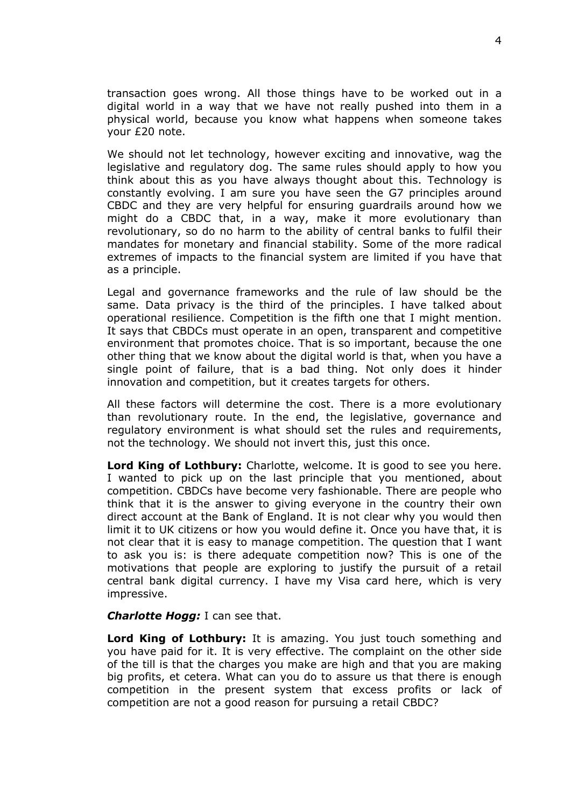transaction goes wrong. All those things have to be worked out in a digital world in a way that we have not really pushed into them in a physical world, because you know what happens when someone takes your £20 note.

We should not let technology, however exciting and innovative, wag the legislative and regulatory dog. The same rules should apply to how you think about this as you have always thought about this. Technology is constantly evolving. I am sure you have seen the G7 principles around CBDC and they are very helpful for ensuring guardrails around how we might do a CBDC that, in a way, make it more evolutionary than revolutionary, so do no harm to the ability of central banks to fulfil their mandates for monetary and financial stability. Some of the more radical extremes of impacts to the financial system are limited if you have that as a principle.

Legal and governance frameworks and the rule of law should be the same. Data privacy is the third of the principles. I have talked about operational resilience. Competition is the fifth one that I might mention. It says that CBDCs must operate in an open, transparent and competitive environment that promotes choice. That is so important, because the one other thing that we know about the digital world is that, when you have a single point of failure, that is a bad thing. Not only does it hinder innovation and competition, but it creates targets for others.

All these factors will determine the cost. There is a more evolutionary than revolutionary route. In the end, the legislative, governance and regulatory environment is what should set the rules and requirements, not the technology. We should not invert this, just this once.

**Lord King of Lothbury:** Charlotte, welcome. It is good to see you here. I wanted to pick up on the last principle that you mentioned, about competition. CBDCs have become very fashionable. There are people who think that it is the answer to giving everyone in the country their own direct account at the Bank of England. It is not clear why you would then limit it to UK citizens or how you would define it. Once you have that, it is not clear that it is easy to manage competition. The question that I want to ask you is: is there adequate competition now? This is one of the motivations that people are exploring to justify the pursuit of a retail central bank digital currency. I have my Visa card here, which is very impressive.

#### *Charlotte Hogg:* I can see that.

**Lord King of Lothbury:** It is amazing. You just touch something and you have paid for it. It is very effective. The complaint on the other side of the till is that the charges you make are high and that you are making big profits, et cetera. What can you do to assure us that there is enough competition in the present system that excess profits or lack of competition are not a good reason for pursuing a retail CBDC?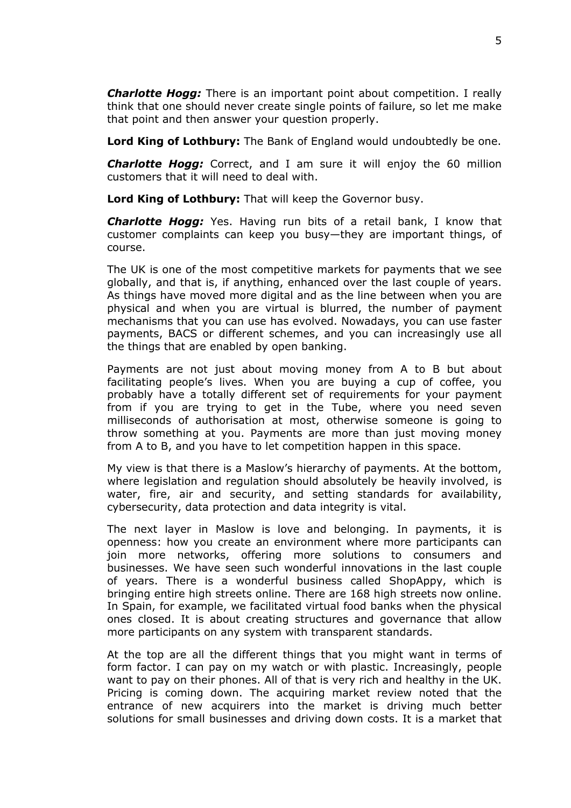*Charlotte Hogg:* There is an important point about competition. I really think that one should never create single points of failure, so let me make that point and then answer your question properly.

**Lord King of Lothbury:** The Bank of England would undoubtedly be one.

*Charlotte Hogg:* Correct, and I am sure it will enjoy the 60 million customers that it will need to deal with.

**Lord King of Lothbury:** That will keep the Governor busy.

*Charlotte Hogg:* Yes. Having run bits of a retail bank, I know that customer complaints can keep you busy—they are important things, of course.

The UK is one of the most competitive markets for payments that we see globally, and that is, if anything, enhanced over the last couple of years. As things have moved more digital and as the line between when you are physical and when you are virtual is blurred, the number of payment mechanisms that you can use has evolved. Nowadays, you can use faster payments, BACS or different schemes, and you can increasingly use all the things that are enabled by open banking.

Payments are not just about moving money from A to B but about facilitating people's lives. When you are buying a cup of coffee, you probably have a totally different set of requirements for your payment from if you are trying to get in the Tube, where you need seven milliseconds of authorisation at most, otherwise someone is going to throw something at you. Payments are more than just moving money from A to B, and you have to let competition happen in this space.

My view is that there is a Maslow's hierarchy of payments. At the bottom, where legislation and regulation should absolutely be heavily involved, is water, fire, air and security, and setting standards for availability, cybersecurity, data protection and data integrity is vital.

The next layer in Maslow is love and belonging. In payments, it is openness: how you create an environment where more participants can join more networks, offering more solutions to consumers and businesses. We have seen such wonderful innovations in the last couple of years. There is a wonderful business called ShopAppy, which is bringing entire high streets online. There are 168 high streets now online. In Spain, for example, we facilitated virtual food banks when the physical ones closed. It is about creating structures and governance that allow more participants on any system with transparent standards.

At the top are all the different things that you might want in terms of form factor. I can pay on my watch or with plastic. Increasingly, people want to pay on their phones. All of that is very rich and healthy in the UK. Pricing is coming down. The acquiring market review noted that the entrance of new acquirers into the market is driving much better solutions for small businesses and driving down costs. It is a market that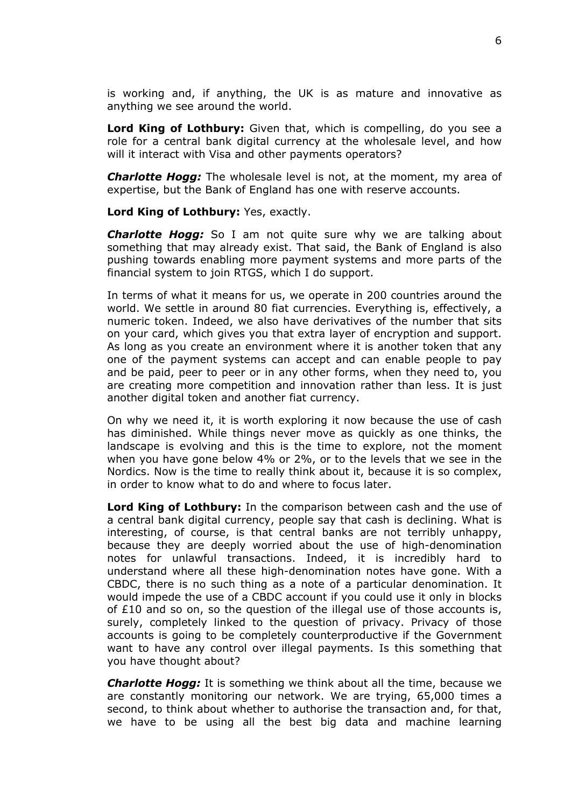is working and, if anything, the UK is as mature and innovative as anything we see around the world.

**Lord King of Lothbury:** Given that, which is compelling, do you see a role for a central bank digital currency at the wholesale level, and how will it interact with Visa and other payments operators?

*Charlotte Hogg:* The wholesale level is not, at the moment, my area of expertise, but the Bank of England has one with reserve accounts.

**Lord King of Lothbury:** Yes, exactly.

*Charlotte Hogg:* So I am not quite sure why we are talking about something that may already exist. That said, the Bank of England is also pushing towards enabling more payment systems and more parts of the financial system to join RTGS, which I do support.

In terms of what it means for us, we operate in 200 countries around the world. We settle in around 80 fiat currencies. Everything is, effectively, a numeric token. Indeed, we also have derivatives of the number that sits on your card, which gives you that extra layer of encryption and support. As long as you create an environment where it is another token that any one of the payment systems can accept and can enable people to pay and be paid, peer to peer or in any other forms, when they need to, you are creating more competition and innovation rather than less. It is just another digital token and another fiat currency.

On why we need it, it is worth exploring it now because the use of cash has diminished. While things never move as quickly as one thinks, the landscape is evolving and this is the time to explore, not the moment when you have gone below 4% or 2%, or to the levels that we see in the Nordics. Now is the time to really think about it, because it is so complex, in order to know what to do and where to focus later.

**Lord King of Lothbury:** In the comparison between cash and the use of a central bank digital currency, people say that cash is declining. What is interesting, of course, is that central banks are not terribly unhappy, because they are deeply worried about the use of high-denomination notes for unlawful transactions. Indeed, it is incredibly hard to understand where all these high-denomination notes have gone. With a CBDC, there is no such thing as a note of a particular denomination. It would impede the use of a CBDC account if you could use it only in blocks of  $E10$  and so on, so the question of the illegal use of those accounts is, surely, completely linked to the question of privacy. Privacy of those accounts is going to be completely counterproductive if the Government want to have any control over illegal payments. Is this something that you have thought about?

*Charlotte Hogg:* It is something we think about all the time, because we are constantly monitoring our network. We are trying, 65,000 times a second, to think about whether to authorise the transaction and, for that, we have to be using all the best big data and machine learning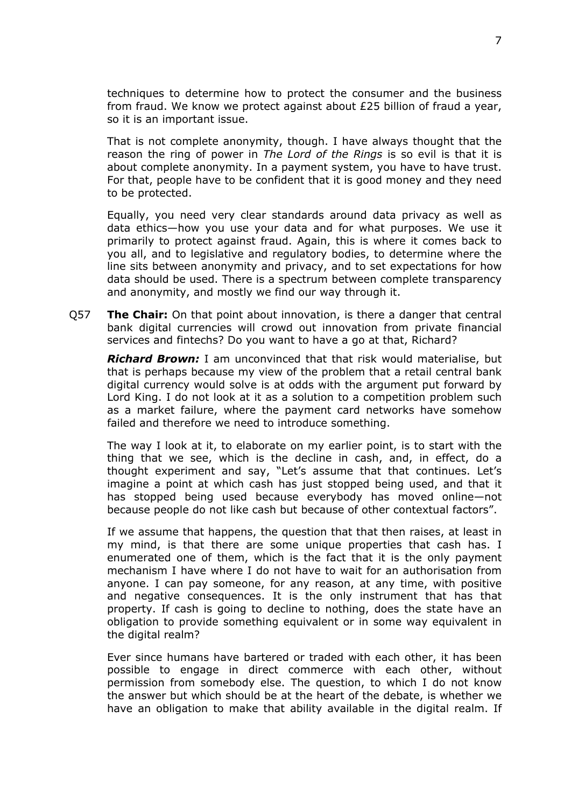techniques to determine how to protect the consumer and the business from fraud. We know we protect against about £25 billion of fraud a year, so it is an important issue.

That is not complete anonymity, though. I have always thought that the reason the ring of power in *The Lord of the Rings* is so evil is that it is about complete anonymity. In a payment system, you have to have trust. For that, people have to be confident that it is good money and they need to be protected.

Equally, you need very clear standards around data privacy as well as data ethics—how you use your data and for what purposes. We use it primarily to protect against fraud. Again, this is where it comes back to you all, and to legislative and regulatory bodies, to determine where the line sits between anonymity and privacy, and to set expectations for how data should be used. There is a spectrum between complete transparency and anonymity, and mostly we find our way through it.

Q57 **The Chair:** On that point about innovation, is there a danger that central bank digital currencies will crowd out innovation from private financial services and fintechs? Do you want to have a go at that, Richard?

*Richard Brown:* I am unconvinced that that risk would materialise, but that is perhaps because my view of the problem that a retail central bank digital currency would solve is at odds with the argument put forward by Lord King. I do not look at it as a solution to a competition problem such as a market failure, where the payment card networks have somehow failed and therefore we need to introduce something.

The way I look at it, to elaborate on my earlier point, is to start with the thing that we see, which is the decline in cash, and, in effect, do a thought experiment and say, "Let's assume that that continues. Let's imagine a point at which cash has just stopped being used, and that it has stopped being used because everybody has moved online—not because people do not like cash but because of other contextual factors".

If we assume that happens, the question that that then raises, at least in my mind, is that there are some unique properties that cash has. I enumerated one of them, which is the fact that it is the only payment mechanism I have where I do not have to wait for an authorisation from anyone. I can pay someone, for any reason, at any time, with positive and negative consequences. It is the only instrument that has that property. If cash is going to decline to nothing, does the state have an obligation to provide something equivalent or in some way equivalent in the digital realm?

Ever since humans have bartered or traded with each other, it has been possible to engage in direct commerce with each other, without permission from somebody else. The question, to which I do not know the answer but which should be at the heart of the debate, is whether we have an obligation to make that ability available in the digital realm. If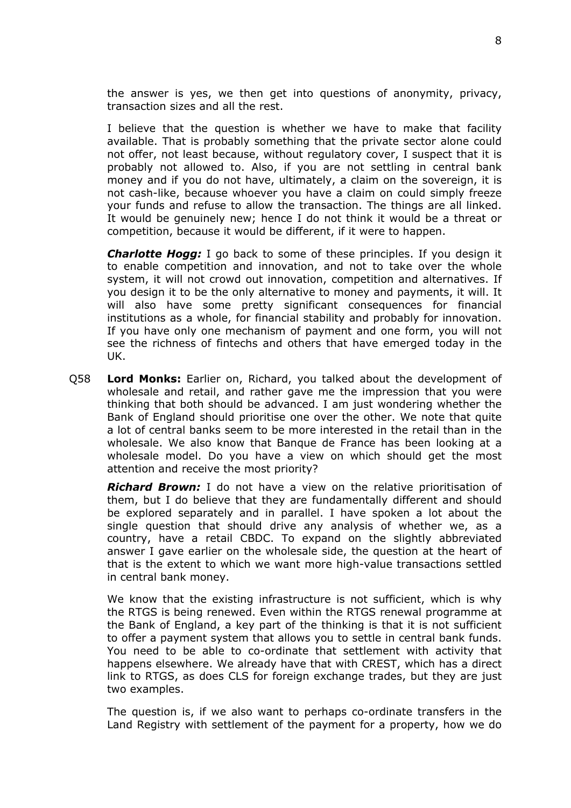the answer is yes, we then get into questions of anonymity, privacy, transaction sizes and all the rest.

I believe that the question is whether we have to make that facility available. That is probably something that the private sector alone could not offer, not least because, without regulatory cover, I suspect that it is probably not allowed to. Also, if you are not settling in central bank money and if you do not have, ultimately, a claim on the sovereign, it is not cash-like, because whoever you have a claim on could simply freeze your funds and refuse to allow the transaction. The things are all linked. It would be genuinely new; hence I do not think it would be a threat or competition, because it would be different, if it were to happen.

*Charlotte Hogg:* I go back to some of these principles. If you design it to enable competition and innovation, and not to take over the whole system, it will not crowd out innovation, competition and alternatives. If you design it to be the only alternative to money and payments, it will. It will also have some pretty significant consequences for financial institutions as a whole, for financial stability and probably for innovation. If you have only one mechanism of payment and one form, you will not see the richness of fintechs and others that have emerged today in the UK.

Q58 **Lord Monks:** Earlier on, Richard, you talked about the development of wholesale and retail, and rather gave me the impression that you were thinking that both should be advanced. I am just wondering whether the Bank of England should prioritise one over the other. We note that quite a lot of central banks seem to be more interested in the retail than in the wholesale. We also know that Banque de France has been looking at a wholesale model. Do you have a view on which should get the most attention and receive the most priority?

*Richard Brown:* I do not have a view on the relative prioritisation of them, but I do believe that they are fundamentally different and should be explored separately and in parallel. I have spoken a lot about the single question that should drive any analysis of whether we, as a country, have a retail CBDC. To expand on the slightly abbreviated answer I gave earlier on the wholesale side, the question at the heart of that is the extent to which we want more high-value transactions settled in central bank money.

We know that the existing infrastructure is not sufficient, which is why the RTGS is being renewed. Even within the RTGS renewal programme at the Bank of England, a key part of the thinking is that it is not sufficient to offer a payment system that allows you to settle in central bank funds. You need to be able to co-ordinate that settlement with activity that happens elsewhere. We already have that with CREST, which has a direct link to RTGS, as does CLS for foreign exchange trades, but they are just two examples.

The question is, if we also want to perhaps co-ordinate transfers in the Land Registry with settlement of the payment for a property, how we do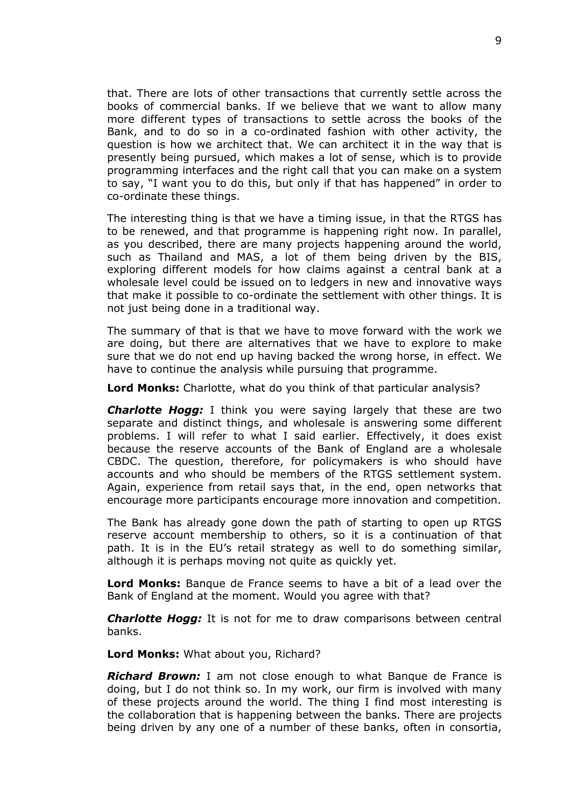that. There are lots of other transactions that currently settle across the books of commercial banks. If we believe that we want to allow many more different types of transactions to settle across the books of the Bank, and to do so in a co-ordinated fashion with other activity, the question is how we architect that. We can architect it in the way that is presently being pursued, which makes a lot of sense, which is to provide programming interfaces and the right call that you can make on a system to say, "I want you to do this, but only if that has happened" in order to co-ordinate these things.

The interesting thing is that we have a timing issue, in that the RTGS has to be renewed, and that programme is happening right now. In parallel, as you described, there are many projects happening around the world, such as Thailand and MAS, a lot of them being driven by the BIS, exploring different models for how claims against a central bank at a wholesale level could be issued on to ledgers in new and innovative ways that make it possible to co-ordinate the settlement with other things. It is not just being done in a traditional way.

The summary of that is that we have to move forward with the work we are doing, but there are alternatives that we have to explore to make sure that we do not end up having backed the wrong horse, in effect. We have to continue the analysis while pursuing that programme.

**Lord Monks:** Charlotte, what do you think of that particular analysis?

*Charlotte Hogg:* I think you were saying largely that these are two separate and distinct things, and wholesale is answering some different problems. I will refer to what I said earlier. Effectively, it does exist because the reserve accounts of the Bank of England are a wholesale CBDC. The question, therefore, for policymakers is who should have accounts and who should be members of the RTGS settlement system. Again, experience from retail says that, in the end, open networks that encourage more participants encourage more innovation and competition.

The Bank has already gone down the path of starting to open up RTGS reserve account membership to others, so it is a continuation of that path. It is in the EU's retail strategy as well to do something similar, although it is perhaps moving not quite as quickly yet.

**Lord Monks:** Banque de France seems to have a bit of a lead over the Bank of England at the moment. Would you agree with that?

*Charlotte Hogg:* It is not for me to draw comparisons between central banks.

**Lord Monks:** What about you, Richard?

*Richard Brown:* I am not close enough to what Banque de France is doing, but I do not think so. In my work, our firm is involved with many of these projects around the world. The thing I find most interesting is the collaboration that is happening between the banks. There are projects being driven by any one of a number of these banks, often in consortia,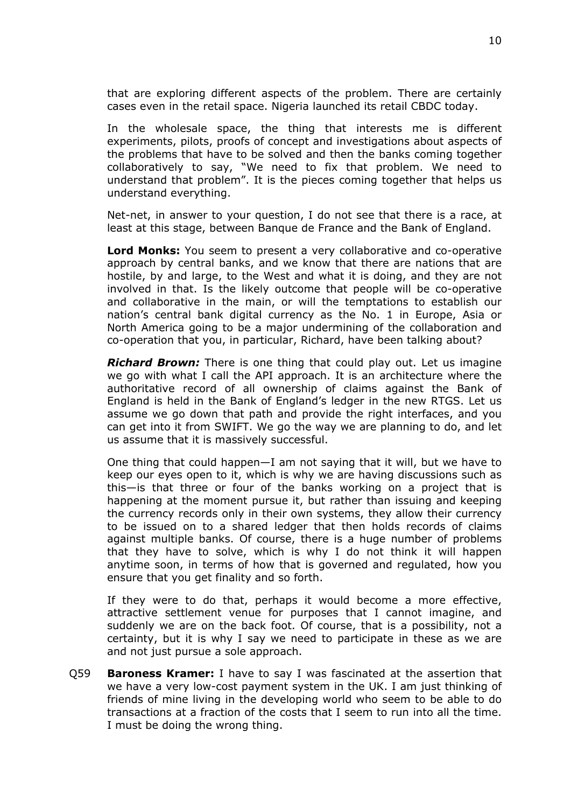that are exploring different aspects of the problem. There are certainly cases even in the retail space. Nigeria launched its retail CBDC today.

In the wholesale space, the thing that interests me is different experiments, pilots, proofs of concept and investigations about aspects of the problems that have to be solved and then the banks coming together collaboratively to say, "We need to fix that problem. We need to understand that problem". It is the pieces coming together that helps us understand everything.

Net-net, in answer to your question, I do not see that there is a race, at least at this stage, between Banque de France and the Bank of England.

**Lord Monks:** You seem to present a very collaborative and co-operative approach by central banks, and we know that there are nations that are hostile, by and large, to the West and what it is doing, and they are not involved in that. Is the likely outcome that people will be co-operative and collaborative in the main, or will the temptations to establish our nation's central bank digital currency as the No. 1 in Europe, Asia or North America going to be a major undermining of the collaboration and co-operation that you, in particular, Richard, have been talking about?

*Richard Brown:* There is one thing that could play out. Let us imagine we go with what I call the API approach. It is an architecture where the authoritative record of all ownership of claims against the Bank of England is held in the Bank of England's ledger in the new RTGS. Let us assume we go down that path and provide the right interfaces, and you can get into it from SWIFT. We go the way we are planning to do, and let us assume that it is massively successful.

One thing that could happen—I am not saying that it will, but we have to keep our eyes open to it, which is why we are having discussions such as this—is that three or four of the banks working on a project that is happening at the moment pursue it, but rather than issuing and keeping the currency records only in their own systems, they allow their currency to be issued on to a shared ledger that then holds records of claims against multiple banks. Of course, there is a huge number of problems that they have to solve, which is why I do not think it will happen anytime soon, in terms of how that is governed and regulated, how you ensure that you get finality and so forth.

If they were to do that, perhaps it would become a more effective, attractive settlement venue for purposes that I cannot imagine, and suddenly we are on the back foot. Of course, that is a possibility, not a certainty, but it is why I say we need to participate in these as we are and not just pursue a sole approach.

Q59 **Baroness Kramer:** I have to say I was fascinated at the assertion that we have a very low-cost payment system in the UK. I am just thinking of friends of mine living in the developing world who seem to be able to do transactions at a fraction of the costs that I seem to run into all the time. I must be doing the wrong thing.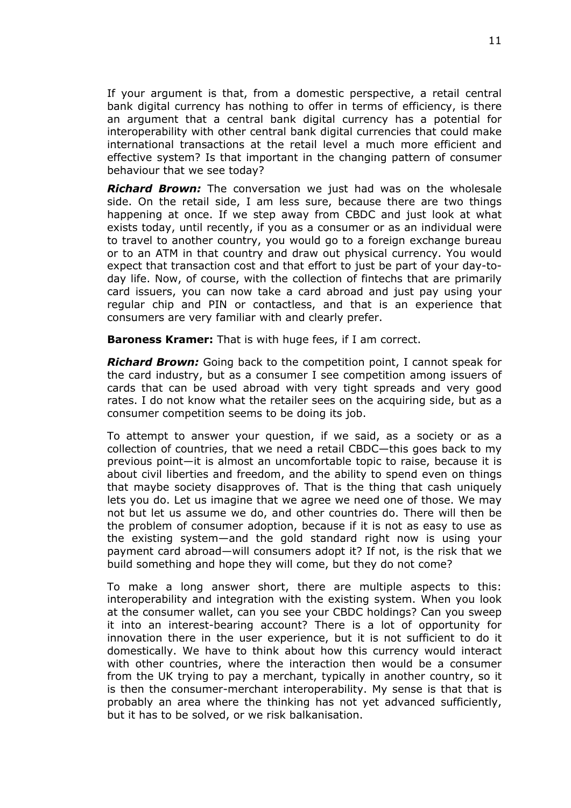If your argument is that, from a domestic perspective, a retail central bank digital currency has nothing to offer in terms of efficiency, is there an argument that a central bank digital currency has a potential for interoperability with other central bank digital currencies that could make international transactions at the retail level a much more efficient and effective system? Is that important in the changing pattern of consumer behaviour that we see today?

*Richard Brown:* The conversation we just had was on the wholesale side. On the retail side, I am less sure, because there are two things happening at once. If we step away from CBDC and just look at what exists today, until recently, if you as a consumer or as an individual were to travel to another country, you would go to a foreign exchange bureau or to an ATM in that country and draw out physical currency. You would expect that transaction cost and that effort to just be part of your day-today life. Now, of course, with the collection of fintechs that are primarily card issuers, you can now take a card abroad and just pay using your regular chip and PIN or contactless, and that is an experience that consumers are very familiar with and clearly prefer.

**Baroness Kramer:** That is with huge fees, if I am correct.

*Richard Brown:* Going back to the competition point, I cannot speak for the card industry, but as a consumer I see competition among issuers of cards that can be used abroad with very tight spreads and very good rates. I do not know what the retailer sees on the acquiring side, but as a consumer competition seems to be doing its job.

To attempt to answer your question, if we said, as a society or as a collection of countries, that we need a retail CBDC—this goes back to my previous point—it is almost an uncomfortable topic to raise, because it is about civil liberties and freedom, and the ability to spend even on things that maybe society disapproves of. That is the thing that cash uniquely lets you do. Let us imagine that we agree we need one of those. We may not but let us assume we do, and other countries do. There will then be the problem of consumer adoption, because if it is not as easy to use as the existing system—and the gold standard right now is using your payment card abroad—will consumers adopt it? If not, is the risk that we build something and hope they will come, but they do not come?

To make a long answer short, there are multiple aspects to this: interoperability and integration with the existing system. When you look at the consumer wallet, can you see your CBDC holdings? Can you sweep it into an interest-bearing account? There is a lot of opportunity for innovation there in the user experience, but it is not sufficient to do it domestically. We have to think about how this currency would interact with other countries, where the interaction then would be a consumer from the UK trying to pay a merchant, typically in another country, so it is then the consumer-merchant interoperability. My sense is that that is probably an area where the thinking has not yet advanced sufficiently, but it has to be solved, or we risk balkanisation.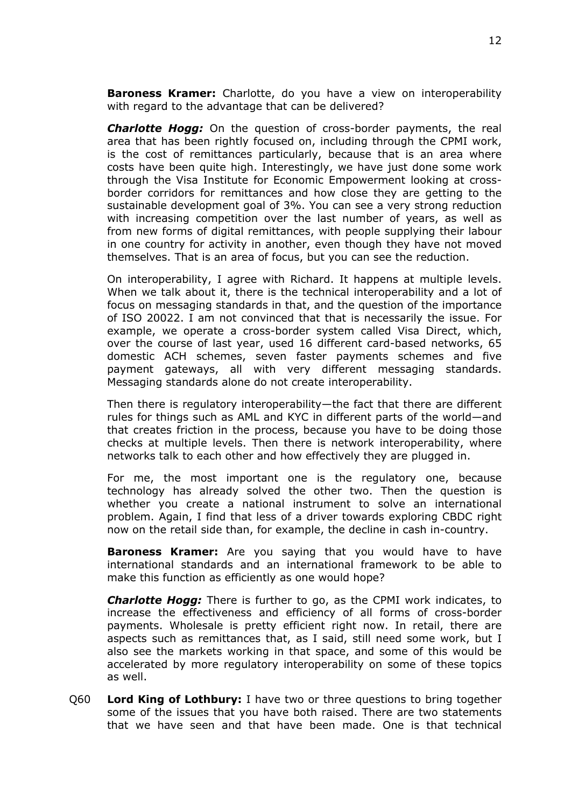**Baroness Kramer:** Charlotte, do you have a view on interoperability with regard to the advantage that can be delivered?

*Charlotte Hogg:* On the question of cross-border payments, the real area that has been rightly focused on, including through the CPMI work, is the cost of remittances particularly, because that is an area where costs have been quite high. Interestingly, we have just done some work through the Visa Institute for Economic Empowerment looking at crossborder corridors for remittances and how close they are getting to the sustainable development goal of 3%. You can see a very strong reduction with increasing competition over the last number of years, as well as from new forms of digital remittances, with people supplying their labour in one country for activity in another, even though they have not moved themselves. That is an area of focus, but you can see the reduction.

On interoperability, I agree with Richard. It happens at multiple levels. When we talk about it, there is the technical interoperability and a lot of focus on messaging standards in that, and the question of the importance of ISO 20022. I am not convinced that that is necessarily the issue. For example, we operate a cross-border system called Visa Direct, which, over the course of last year, used 16 different card-based networks, 65 domestic ACH schemes, seven faster payments schemes and five payment gateways, all with very different messaging standards. Messaging standards alone do not create interoperability.

Then there is regulatory interoperability—the fact that there are different rules for things such as AML and KYC in different parts of the world—and that creates friction in the process, because you have to be doing those checks at multiple levels. Then there is network interoperability, where networks talk to each other and how effectively they are plugged in.

For me, the most important one is the regulatory one, because technology has already solved the other two. Then the question is whether you create a national instrument to solve an international problem. Again, I find that less of a driver towards exploring CBDC right now on the retail side than, for example, the decline in cash in-country.

**Baroness Kramer:** Are you saying that you would have to have international standards and an international framework to be able to make this function as efficiently as one would hope?

*Charlotte Hogg:* There is further to go, as the CPMI work indicates, to increase the effectiveness and efficiency of all forms of cross-border payments. Wholesale is pretty efficient right now. In retail, there are aspects such as remittances that, as I said, still need some work, but I also see the markets working in that space, and some of this would be accelerated by more regulatory interoperability on some of these topics as well.

Q60 **Lord King of Lothbury:** I have two or three questions to bring together some of the issues that you have both raised. There are two statements that we have seen and that have been made. One is that technical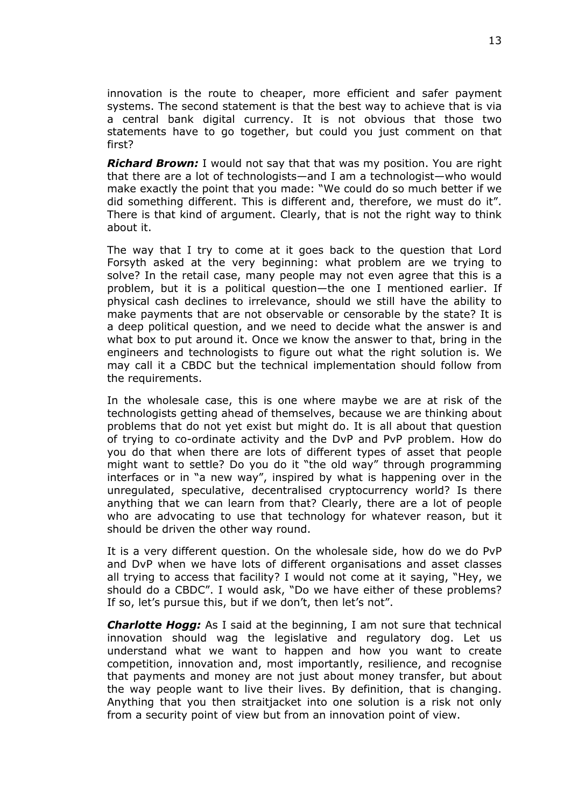innovation is the route to cheaper, more efficient and safer payment systems. The second statement is that the best way to achieve that is via a central bank digital currency. It is not obvious that those two statements have to go together, but could you just comment on that first?

*Richard Brown:* I would not say that that was my position. You are right that there are a lot of technologists—and I am a technologist—who would make exactly the point that you made: "We could do so much better if we did something different. This is different and, therefore, we must do it". There is that kind of argument. Clearly, that is not the right way to think about it.

The way that I try to come at it goes back to the question that Lord Forsyth asked at the very beginning: what problem are we trying to solve? In the retail case, many people may not even agree that this is a problem, but it is a political question—the one I mentioned earlier. If physical cash declines to irrelevance, should we still have the ability to make payments that are not observable or censorable by the state? It is a deep political question, and we need to decide what the answer is and what box to put around it. Once we know the answer to that, bring in the engineers and technologists to figure out what the right solution is. We may call it a CBDC but the technical implementation should follow from the requirements.

In the wholesale case, this is one where maybe we are at risk of the technologists getting ahead of themselves, because we are thinking about problems that do not yet exist but might do. It is all about that question of trying to co-ordinate activity and the DvP and PvP problem. How do you do that when there are lots of different types of asset that people might want to settle? Do you do it "the old way" through programming interfaces or in "a new way", inspired by what is happening over in the unregulated, speculative, decentralised cryptocurrency world? Is there anything that we can learn from that? Clearly, there are a lot of people who are advocating to use that technology for whatever reason, but it should be driven the other way round.

It is a very different question. On the wholesale side, how do we do PvP and DvP when we have lots of different organisations and asset classes all trying to access that facility? I would not come at it saying, "Hey, we should do a CBDC". I would ask, "Do we have either of these problems? If so, let's pursue this, but if we don't, then let's not".

*Charlotte Hogg:* As I said at the beginning, I am not sure that technical innovation should wag the legislative and regulatory dog. Let us understand what we want to happen and how you want to create competition, innovation and, most importantly, resilience, and recognise that payments and money are not just about money transfer, but about the way people want to live their lives. By definition, that is changing. Anything that you then straitjacket into one solution is a risk not only from a security point of view but from an innovation point of view.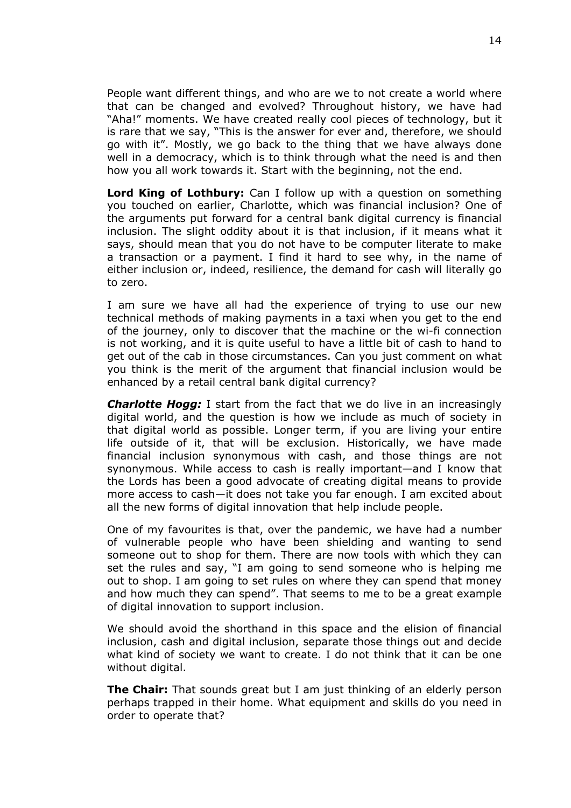People want different things, and who are we to not create a world where that can be changed and evolved? Throughout history, we have had "Aha!" moments. We have created really cool pieces of technology, but it is rare that we say, "This is the answer for ever and, therefore, we should go with it". Mostly, we go back to the thing that we have always done well in a democracy, which is to think through what the need is and then how you all work towards it. Start with the beginning, not the end.

**Lord King of Lothbury:** Can I follow up with a question on something you touched on earlier, Charlotte, which was financial inclusion? One of the arguments put forward for a central bank digital currency is financial inclusion. The slight oddity about it is that inclusion, if it means what it says, should mean that you do not have to be computer literate to make a transaction or a payment. I find it hard to see why, in the name of either inclusion or, indeed, resilience, the demand for cash will literally go to zero.

I am sure we have all had the experience of trying to use our new technical methods of making payments in a taxi when you get to the end of the journey, only to discover that the machine or the wi-fi connection is not working, and it is quite useful to have a little bit of cash to hand to get out of the cab in those circumstances. Can you just comment on what you think is the merit of the argument that financial inclusion would be enhanced by a retail central bank digital currency?

*Charlotte Hogg:* I start from the fact that we do live in an increasingly digital world, and the question is how we include as much of society in that digital world as possible. Longer term, if you are living your entire life outside of it, that will be exclusion. Historically, we have made financial inclusion synonymous with cash, and those things are not synonymous. While access to cash is really important—and I know that the Lords has been a good advocate of creating digital means to provide more access to cash—it does not take you far enough. I am excited about all the new forms of digital innovation that help include people.

One of my favourites is that, over the pandemic, we have had a number of vulnerable people who have been shielding and wanting to send someone out to shop for them. There are now tools with which they can set the rules and say, "I am going to send someone who is helping me out to shop. I am going to set rules on where they can spend that money and how much they can spend". That seems to me to be a great example of digital innovation to support inclusion.

We should avoid the shorthand in this space and the elision of financial inclusion, cash and digital inclusion, separate those things out and decide what kind of society we want to create. I do not think that it can be one without digital.

**The Chair:** That sounds great but I am just thinking of an elderly person perhaps trapped in their home. What equipment and skills do you need in order to operate that?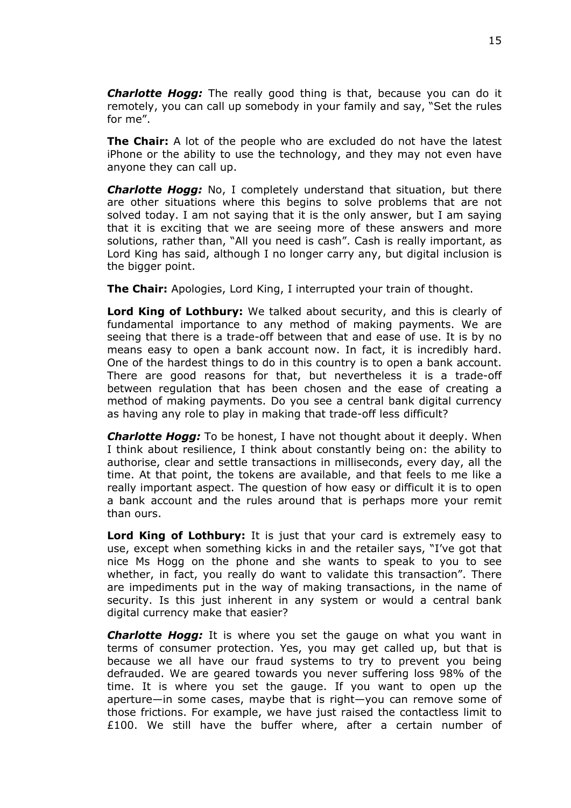*Charlotte Hogg:* The really good thing is that, because you can do it remotely, you can call up somebody in your family and say, "Set the rules for me".

**The Chair:** A lot of the people who are excluded do not have the latest iPhone or the ability to use the technology, and they may not even have anyone they can call up.

*Charlotte Hogg:* No, I completely understand that situation, but there are other situations where this begins to solve problems that are not solved today. I am not saying that it is the only answer, but I am saying that it is exciting that we are seeing more of these answers and more solutions, rather than, "All you need is cash". Cash is really important, as Lord King has said, although I no longer carry any, but digital inclusion is the bigger point.

**The Chair:** Apologies, Lord King, I interrupted your train of thought.

**Lord King of Lothbury:** We talked about security, and this is clearly of fundamental importance to any method of making payments. We are seeing that there is a trade-off between that and ease of use. It is by no means easy to open a bank account now. In fact, it is incredibly hard. One of the hardest things to do in this country is to open a bank account. There are good reasons for that, but nevertheless it is a trade-off between regulation that has been chosen and the ease of creating a method of making payments. Do you see a central bank digital currency as having any role to play in making that trade-off less difficult?

*Charlotte Hogg:* To be honest, I have not thought about it deeply. When I think about resilience, I think about constantly being on: the ability to authorise, clear and settle transactions in milliseconds, every day, all the time. At that point, the tokens are available, and that feels to me like a really important aspect. The question of how easy or difficult it is to open a bank account and the rules around that is perhaps more your remit than ours.

**Lord King of Lothbury:** It is just that your card is extremely easy to use, except when something kicks in and the retailer says, "I've got that nice Ms Hogg on the phone and she wants to speak to you to see whether, in fact, you really do want to validate this transaction". There are impediments put in the way of making transactions, in the name of security. Is this just inherent in any system or would a central bank digital currency make that easier?

*Charlotte Hogg:* It is where you set the gauge on what you want in terms of consumer protection. Yes, you may get called up, but that is because we all have our fraud systems to try to prevent you being defrauded. We are geared towards you never suffering loss 98% of the time. It is where you set the gauge. If you want to open up the aperture—in some cases, maybe that is right—you can remove some of those frictions. For example, we have just raised the contactless limit to £100. We still have the buffer where, after a certain number of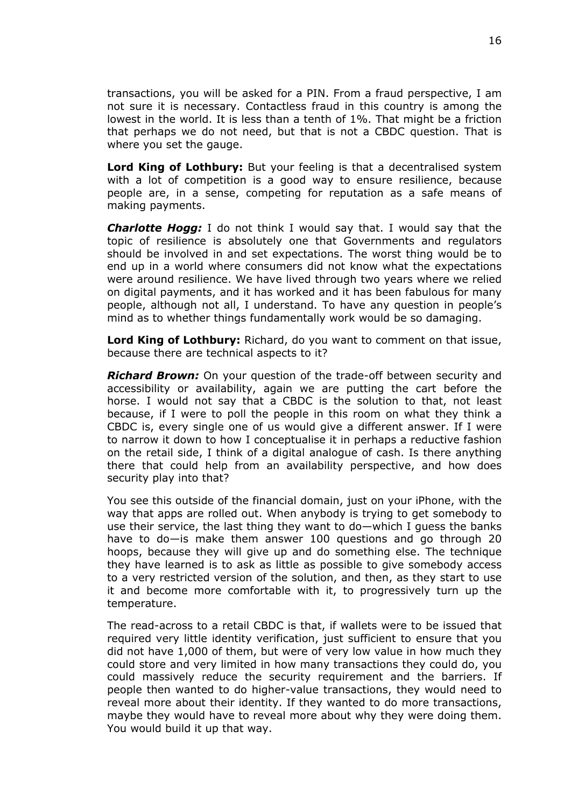transactions, you will be asked for a PIN. From a fraud perspective, I am not sure it is necessary. Contactless fraud in this country is among the lowest in the world. It is less than a tenth of 1%. That might be a friction that perhaps we do not need, but that is not a CBDC question. That is where you set the gauge.

**Lord King of Lothbury:** But your feeling is that a decentralised system with a lot of competition is a good way to ensure resilience, because people are, in a sense, competing for reputation as a safe means of making payments.

*Charlotte Hogg:* I do not think I would say that. I would say that the topic of resilience is absolutely one that Governments and regulators should be involved in and set expectations. The worst thing would be to end up in a world where consumers did not know what the expectations were around resilience. We have lived through two years where we relied on digital payments, and it has worked and it has been fabulous for many people, although not all, I understand. To have any question in people's mind as to whether things fundamentally work would be so damaging.

**Lord King of Lothbury:** Richard, do you want to comment on that issue, because there are technical aspects to it?

*Richard Brown:* On your question of the trade-off between security and accessibility or availability, again we are putting the cart before the horse. I would not say that a CBDC is the solution to that, not least because, if I were to poll the people in this room on what they think a CBDC is, every single one of us would give a different answer. If I were to narrow it down to how I conceptualise it in perhaps a reductive fashion on the retail side, I think of a digital analogue of cash. Is there anything there that could help from an availability perspective, and how does security play into that?

You see this outside of the financial domain, just on your iPhone, with the way that apps are rolled out. When anybody is trying to get somebody to use their service, the last thing they want to do—which I guess the banks have to do—is make them answer 100 questions and go through 20 hoops, because they will give up and do something else. The technique they have learned is to ask as little as possible to give somebody access to a very restricted version of the solution, and then, as they start to use it and become more comfortable with it, to progressively turn up the temperature.

The read-across to a retail CBDC is that, if wallets were to be issued that required very little identity verification, just sufficient to ensure that you did not have 1,000 of them, but were of very low value in how much they could store and very limited in how many transactions they could do, you could massively reduce the security requirement and the barriers. If people then wanted to do higher-value transactions, they would need to reveal more about their identity. If they wanted to do more transactions, maybe they would have to reveal more about why they were doing them. You would build it up that way.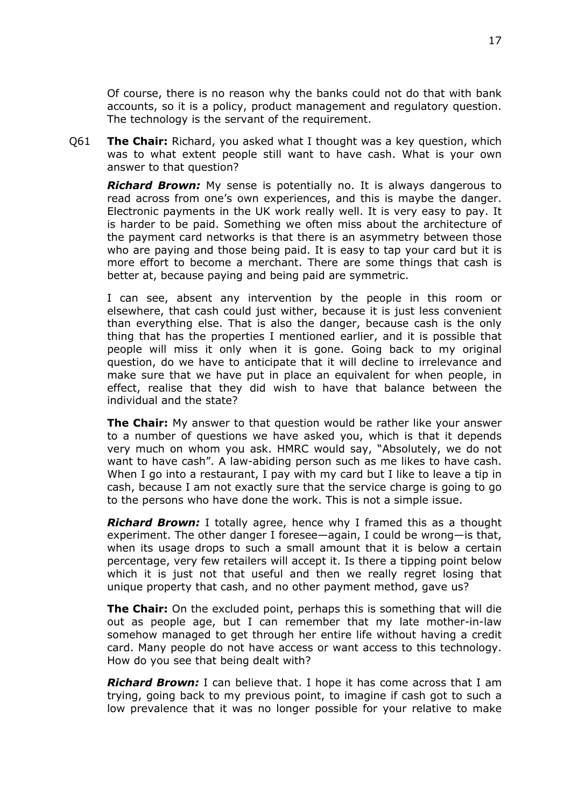Of course, there is no reason why the banks could not do that with bank accounts, so it is a policy, product management and regulatory question. The technology is the servant of the requirement.

Q61 **The Chair:** Richard, you asked what I thought was a key question, which was to what extent people still want to have cash. What is your own answer to that question?

*Richard Brown:* My sense is potentially no. It is always dangerous to read across from one's own experiences, and this is maybe the danger. Electronic payments in the UK work really well. It is very easy to pay. It is harder to be paid. Something we often miss about the architecture of the payment card networks is that there is an asymmetry between those who are paying and those being paid. It is easy to tap your card but it is more effort to become a merchant. There are some things that cash is better at, because paying and being paid are symmetric.

I can see, absent any intervention by the people in this room or elsewhere, that cash could just wither, because it is just less convenient than everything else. That is also the danger, because cash is the only thing that has the properties I mentioned earlier, and it is possible that people will miss it only when it is gone. Going back to my original question, do we have to anticipate that it will decline to irrelevance and make sure that we have put in place an equivalent for when people, in effect, realise that they did wish to have that balance between the individual and the state?

**The Chair:** My answer to that question would be rather like your answer to a number of questions we have asked you, which is that it depends very much on whom you ask. HMRC would say, "Absolutely, we do not want to have cash". A law-abiding person such as me likes to have cash. When I go into a restaurant, I pay with my card but I like to leave a tip in cash, because I am not exactly sure that the service charge is going to go to the persons who have done the work. This is not a simple issue.

*Richard Brown:* I totally agree, hence why I framed this as a thought experiment. The other danger I foresee—again, I could be wrong—is that, when its usage drops to such a small amount that it is below a certain percentage, very few retailers will accept it. Is there a tipping point below which it is just not that useful and then we really regret losing that unique property that cash, and no other payment method, gave us?

**The Chair:** On the excluded point, perhaps this is something that will die out as people age, but I can remember that my late mother-in-law somehow managed to get through her entire life without having a credit card. Many people do not have access or want access to this technology. How do you see that being dealt with?

*Richard Brown:* I can believe that. I hope it has come across that I am trying, going back to my previous point, to imagine if cash got to such a low prevalence that it was no longer possible for your relative to make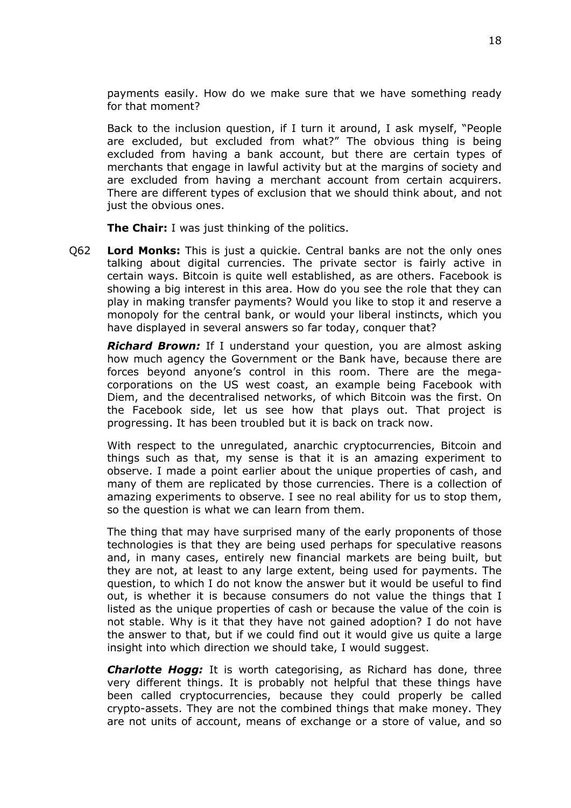payments easily. How do we make sure that we have something ready for that moment?

Back to the inclusion question, if I turn it around, I ask myself, "People are excluded, but excluded from what?" The obvious thing is being excluded from having a bank account, but there are certain types of merchants that engage in lawful activity but at the margins of society and are excluded from having a merchant account from certain acquirers. There are different types of exclusion that we should think about, and not just the obvious ones.

**The Chair:** I was just thinking of the politics.

Q62 **Lord Monks:** This is just a quickie. Central banks are not the only ones talking about digital currencies. The private sector is fairly active in certain ways. Bitcoin is quite well established, as are others. Facebook is showing a big interest in this area. How do you see the role that they can play in making transfer payments? Would you like to stop it and reserve a monopoly for the central bank, or would your liberal instincts, which you have displayed in several answers so far today, conquer that?

*Richard Brown:* If I understand your question, you are almost asking how much agency the Government or the Bank have, because there are forces beyond anyone's control in this room. There are the megacorporations on the US west coast, an example being Facebook with Diem, and the decentralised networks, of which Bitcoin was the first. On the Facebook side, let us see how that plays out. That project is progressing. It has been troubled but it is back on track now.

With respect to the unregulated, anarchic cryptocurrencies, Bitcoin and things such as that, my sense is that it is an amazing experiment to observe. I made a point earlier about the unique properties of cash, and many of them are replicated by those currencies. There is a collection of amazing experiments to observe. I see no real ability for us to stop them, so the question is what we can learn from them.

The thing that may have surprised many of the early proponents of those technologies is that they are being used perhaps for speculative reasons and, in many cases, entirely new financial markets are being built, but they are not, at least to any large extent, being used for payments. The question, to which I do not know the answer but it would be useful to find out, is whether it is because consumers do not value the things that I listed as the unique properties of cash or because the value of the coin is not stable. Why is it that they have not gained adoption? I do not have the answer to that, but if we could find out it would give us quite a large insight into which direction we should take, I would suggest.

*Charlotte Hogg:* It is worth categorising, as Richard has done, three very different things. It is probably not helpful that these things have been called cryptocurrencies, because they could properly be called crypto-assets. They are not the combined things that make money. They are not units of account, means of exchange or a store of value, and so